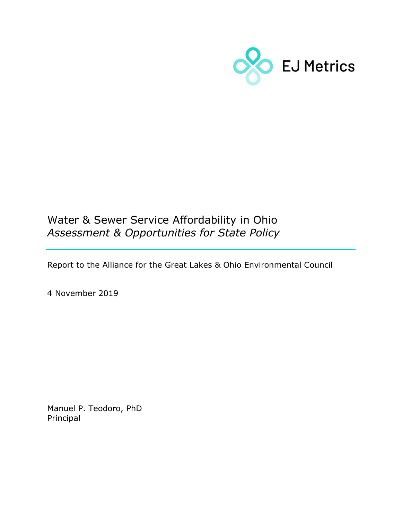

## Water & Sewer Service Affordability in Ohio Assessment & Opportunities for State Policy

Report to the Alliance for the Great Lakes & Ohio Environmental Council

4 November 2019

Manuel P. Teodoro, PhD Principal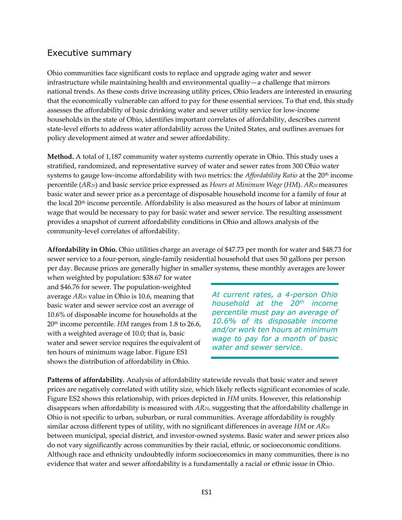## Executive summary

Ohio communities face significant costs to replace and upgrade aging water and sewer infrastructure while maintaining health and environmental quality—a challenge that mirrors national trends. As these costs drive increasing utility prices, Ohio leaders are interested in ensuring that the economically vulnerable can afford to pay for these essential services. To that end, this study assesses the affordability of basic drinking water and sewer utility service for low-income households in the state of Ohio, identifies important correlates of affordability, describes current state-level efforts to address water affordability across the United States, and outlines avenues for policy development aimed at water and sewer affordability.

Method. A total of 1,187 community water systems currently operate in Ohio. This study uses a stratified, randomized, and representative survey of water and sewer rates from 300 Ohio water systems to gauge low-income affordability with two metrics: the *Affordability Ratio* at the  $20<sup>th</sup>$  income percentile  $(AR_{20})$  and basic service price expressed as Hours at Minimum Wage (HM). AR $_{20}$  measures basic water and sewer price as a percentage of disposable household income for a family of four at the local 20th income percentile. Affordability is also measured as the hours of labor at minimum wage that would be necessary to pay for basic water and sewer service. The resulting assessment provides a snapshot of current affordability conditions in Ohio and allows analysis of the community-level correlates of affordability.

Affordability in Ohio. Ohio utilities charge an average of \$47.73 per month for water and \$48.73 for sewer service to a four-person, single-family residential household that uses 50 gallons per person per day. Because prices are generally higher in smaller systems, these monthly averages are lower

when weighted by population: \$38.67 for water and \$46.76 for sewer. The population-weighted average AR20 value in Ohio is 10.6, meaning that basic water and sewer service cost an average of 10.6% of disposable income for households at the  $20<sup>th</sup>$  income percentile. HM ranges from 1.8 to 26.6, with a weighted average of 10.0; that is, basic water and sewer service requires the equivalent of ten hours of minimum wage labor. Figure ES1 shows the distribution of affordability in Ohio.

At current rates, a 4-person Ohio household at the  $20<sup>th</sup>$  income percentile must pay an average of 10.6% of its disposable income and/or work ten hours at minimum wage to pay for a month of basic water and sewer service.

Patterns of affordability. Analysis of affordability statewide reveals that basic water and sewer prices are negatively correlated with utility size, which likely reflects significant economies of scale. Figure ES2 shows this relationship, with prices depicted in HM units. However, this relationship disappears when affordability is measured with AR20, suggesting that the affordability challenge in Ohio is not specific to urban, suburban, or rural communities. Average affordability is roughly similar across different types of utility, with no significant differences in average  $HM$  or  $AR_{20}$ between municipal, special district, and investor-owned systems. Basic water and sewer prices also do not vary significantly across communities by their racial, ethnic, or socioeconomic conditions. Although race and ethnicity undoubtedly inform socioeconomics in many communities, there is no evidence that water and sewer affordability is a fundamentally a racial or ethnic issue in Ohio.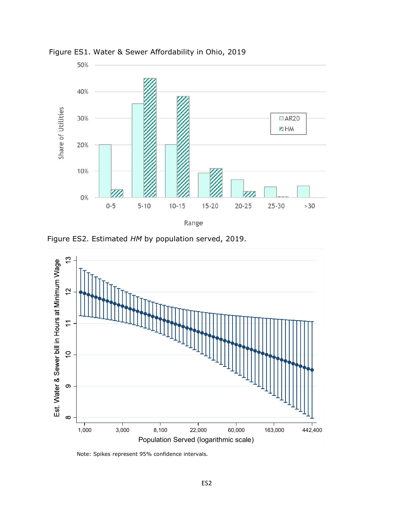

Figure ES1. Water & Sewer Affordability in Ohio, 2019

Figure ES2. Estimated HM by population served, 2019.



Note: Spikes represent 95% confidence intervals.